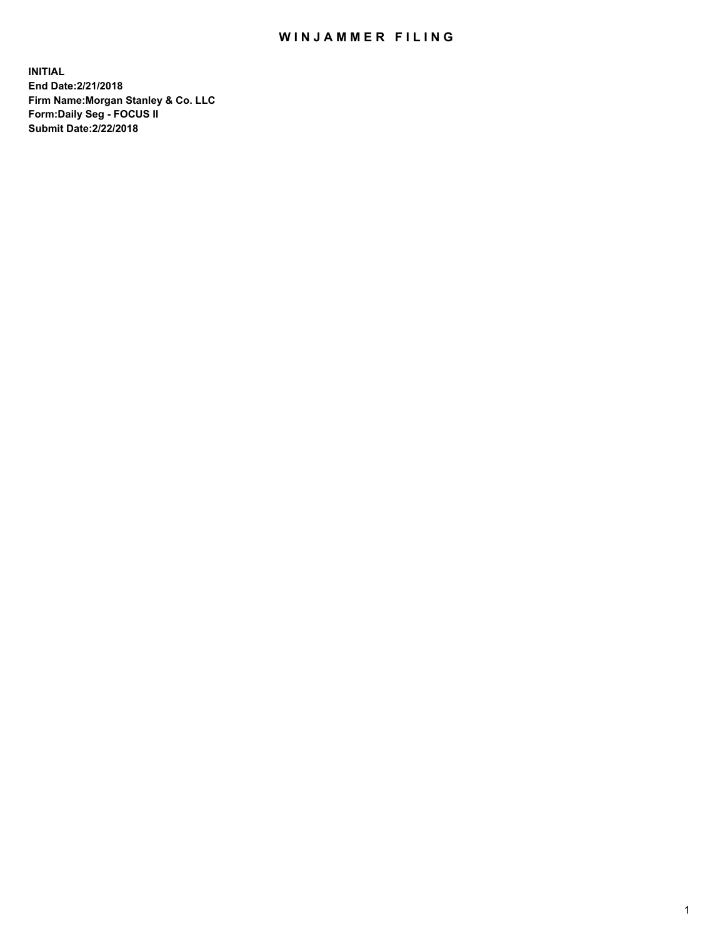## WIN JAMMER FILING

**INITIAL End Date:2/21/2018 Firm Name:Morgan Stanley & Co. LLC Form:Daily Seg - FOCUS II Submit Date:2/22/2018**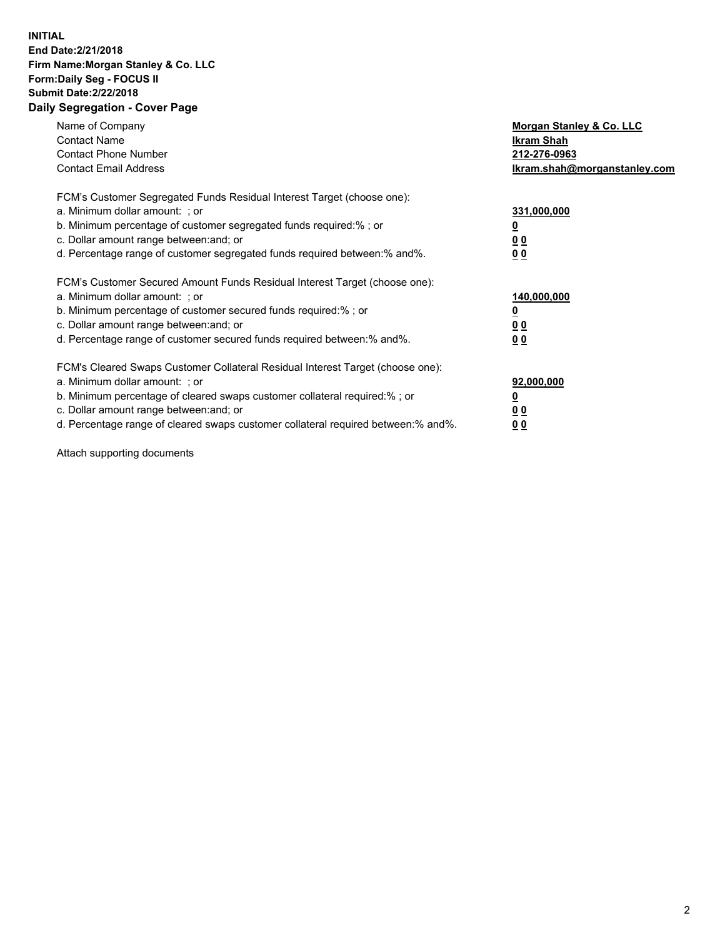### **INITIAL End Date:2/21/2018 Firm Name:Morgan Stanley & Co. LLC Form:Daily Seg - FOCUS II Submit Date:2/22/2018 Daily Segregation - Cover Page**

| Name of Company<br><b>Contact Name</b><br><b>Contact Phone Number</b><br><b>Contact Email Address</b>                                                                                                                                                                                                                         | Morgan Stanley & Co. LLC<br>Ikram Shah<br>212-276-0963<br>lkram.shah@morganstanley.com |
|-------------------------------------------------------------------------------------------------------------------------------------------------------------------------------------------------------------------------------------------------------------------------------------------------------------------------------|----------------------------------------------------------------------------------------|
| FCM's Customer Segregated Funds Residual Interest Target (choose one):<br>a. Minimum dollar amount: ; or<br>b. Minimum percentage of customer segregated funds required:%; or<br>c. Dollar amount range between: and; or<br>d. Percentage range of customer segregated funds required between:% and%.                         | 331,000,000<br>0 <sub>0</sub><br>00                                                    |
| FCM's Customer Secured Amount Funds Residual Interest Target (choose one):<br>a. Minimum dollar amount: ; or<br>b. Minimum percentage of customer secured funds required:%; or<br>c. Dollar amount range between: and; or<br>d. Percentage range of customer secured funds required between:% and%.                           | 140,000,000<br>0 <sub>0</sub><br>0 <sub>0</sub>                                        |
| FCM's Cleared Swaps Customer Collateral Residual Interest Target (choose one):<br>a. Minimum dollar amount: ; or<br>b. Minimum percentage of cleared swaps customer collateral required:%; or<br>c. Dollar amount range between: and; or<br>d. Percentage range of cleared swaps customer collateral required between:% and%. | 92,000,000<br>0 <sub>0</sub><br><u>00</u>                                              |

Attach supporting documents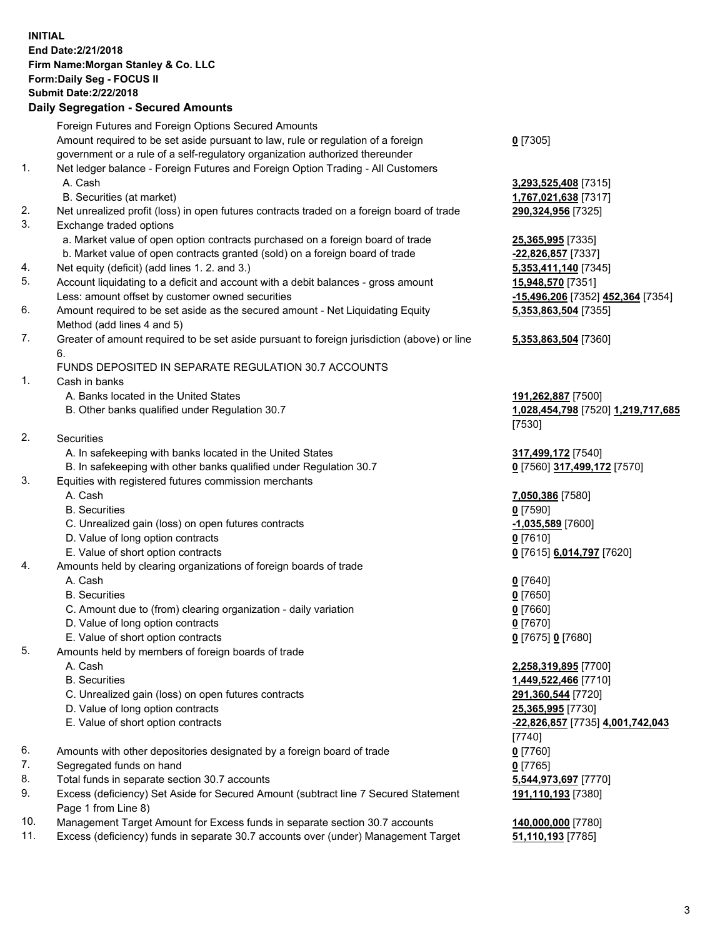# **INITIAL End Date:2/21/2018 Firm Name:Morgan Stanley & Co. LLC Form:Daily Seg - FOCUS II Submit Date:2/22/2018**

#### **Daily Segregation - Secured Amounts**

Foreign Futures and Foreign Options Secured Amounts Amount required to be set aside pursuant to law, rule or regulation of a foreign government or a rule of a self-regulatory organization authorized thereunder 1. Net ledger balance - Foreign Futures and Foreign Option Trading - All Customers A. Cash **3,293,525,408** [7315] B. Securities (at market) **1,767,021,638** [7317] 2. Net unrealized profit (loss) in open futures contracts traded on a foreign board of trade **290,324,956** [7325] 3. Exchange traded options a. Market value of open option contracts purchased on a foreign board of trade **25,365,995** [7335] b. Market value of open contracts granted (sold) on a foreign board of trade **-22,826,857** [7337] 4. Net equity (deficit) (add lines 1. 2. and 3.) **5,353,411,140** [7345] 5. Account liquidating to a deficit and account with a debit balances - gross amount **15,948,570** [7351] Less: amount offset by customer owned securities **-15,496,206** [7352] **452,364** [7354] 6. Amount required to be set aside as the secured amount - Net Liquidating Equity Method (add lines 4 and 5) 7. Greater of amount required to be set aside pursuant to foreign jurisdiction (above) or line 6. FUNDS DEPOSITED IN SEPARATE REGULATION 30.7 ACCOUNTS 1. Cash in banks A. Banks located in the United States **191,262,887** [7500] B. Other banks qualified under Regulation 30.7 **1,028,454,798** [7520] **1,219,717,685** 2. Securities A. In safekeeping with banks located in the United States **317,499,172** [7540] B. In safekeeping with other banks qualified under Regulation 30.7 **0** [7560] **317,499,172** [7570] 3. Equities with registered futures commission merchants A. Cash **7,050,386** [7580] B. Securities **0** [7590] C. Unrealized gain (loss) on open futures contracts **-1,035,589** [7600] D. Value of long option contracts **0** [7610] E. Value of short option contracts **0** [7615] **6,014,797** [7620] 4. Amounts held by clearing organizations of foreign boards of trade A. Cash **0** [7640] B. Securities **0** [7650] C. Amount due to (from) clearing organization - daily variation **0** [7660] D. Value of long option contracts **0** [7670] E. Value of short option contracts **0** [7675] **0** [7680] 5. Amounts held by members of foreign boards of trade A. Cash **2,258,319,895** [7700] B. Securities **1,449,522,466** [7710] C. Unrealized gain (loss) on open futures contracts **291,360,544** [7720] D. Value of long option contracts **25,365,995** [7730] E. Value of short option contracts **-22,826,857** [7735] **4,001,742,043** 6. Amounts with other depositories designated by a foreign board of trade **0** [7760] 7. Segregated funds on hand **0** [7765] 8. Total funds in separate section 30.7 accounts **5,544,973,697** [7770] 9. Excess (deficiency) Set Aside for Secured Amount (subtract line 7 Secured Statement Page 1 from Line 8)

- 10. Management Target Amount for Excess funds in separate section 30.7 accounts **140,000,000** [7780]
- 11. Excess (deficiency) funds in separate 30.7 accounts over (under) Management Target **51,110,193** [7785]

**0** [7305]

**5,353,863,504** [7355]

#### **5,353,863,504** [7360]

[7530]

[7740] **191,110,193** [7380]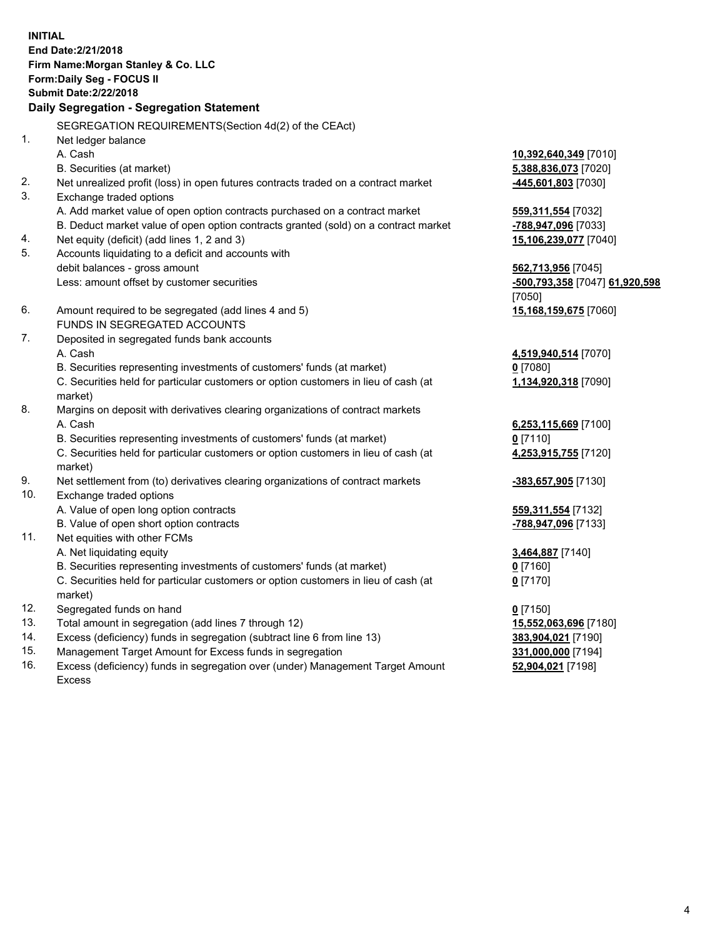**INITIAL End Date:2/21/2018 Firm Name:Morgan Stanley & Co. LLC Form:Daily Seg - FOCUS II Submit Date:2/22/2018 Daily Segregation - Segregation Statement** SEGREGATION REQUIREMENTS(Section 4d(2) of the CEAct) 1. Net ledger balance A. Cash **10,392,640,349** [7010] B. Securities (at market) **5,388,836,073** [7020] 2. Net unrealized profit (loss) in open futures contracts traded on a contract market **-445,601,803** [7030] 3. Exchange traded options A. Add market value of open option contracts purchased on a contract market **559,311,554** [7032] B. Deduct market value of open option contracts granted (sold) on a contract market **-788,947,096** [7033] 4. Net equity (deficit) (add lines 1, 2 and 3) **15,106,239,077** [7040] 5. Accounts liquidating to a deficit and accounts with debit balances - gross amount **562,713,956** [7045] Less: amount offset by customer securities **-500,793,358** [7047] **61,920,598** [7050] 6. Amount required to be segregated (add lines 4 and 5) **15,168,159,675** [7060] FUNDS IN SEGREGATED ACCOUNTS 7. Deposited in segregated funds bank accounts A. Cash **4,519,940,514** [7070] B. Securities representing investments of customers' funds (at market) **0** [7080] C. Securities held for particular customers or option customers in lieu of cash (at market) **1,134,920,318** [7090] 8. Margins on deposit with derivatives clearing organizations of contract markets A. Cash **6,253,115,669** [7100] B. Securities representing investments of customers' funds (at market) **0** [7110] C. Securities held for particular customers or option customers in lieu of cash (at market) **4,253,915,755** [7120] 9. Net settlement from (to) derivatives clearing organizations of contract markets **-383,657,905** [7130] 10. Exchange traded options A. Value of open long option contracts **559,311,554** [7132] B. Value of open short option contracts **-788,947,096** [7133] 11. Net equities with other FCMs A. Net liquidating equity **3,464,887** [7140] B. Securities representing investments of customers' funds (at market) **0** [7160] C. Securities held for particular customers or option customers in lieu of cash (at market) **0** [7170] 12. Segregated funds on hand **0** [7150] 13. Total amount in segregation (add lines 7 through 12) **15,552,063,696** [7180] 14. Excess (deficiency) funds in segregation (subtract line 6 from line 13) **383,904,021** [7190] 15. Management Target Amount for Excess funds in segregation **331,000,000** [7194]

16. Excess (deficiency) funds in segregation over (under) Management Target Amount Excess

**52,904,021** [7198]